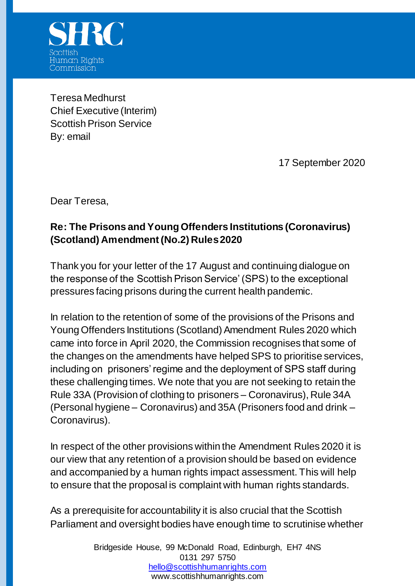

Teresa Medhurst Chief Executive (Interim) Scottish Prison Service By: email

17 September 2020

Dear Teresa,

## **Re: The Prisons and Young Offenders Institutions (Coronavirus) (Scotland) Amendment (No.2) Rules 2020**

Thank you for your letter of the 17 August and continuing dialogue on the response of the Scottish Prison Service' (SPS) to the exceptional pressures facing prisons during the current health pandemic.

In relation to the retention of some of the provisions of the Prisons and Young Offenders Institutions (Scotland) Amendment Rules 2020 which came into force in April 2020, the Commission recognises that some of the changes on the amendments have helped SPS to prioritise services, including on prisoners' regime and the deployment of SPS staff during these challenging times. We note that you are not seeking to retain the Rule 33A (Provision of clothing to prisoners – Coronavirus), Rule 34A (Personal hygiene – Coronavirus) and 35A (Prisoners food and drink – Coronavirus).

In respect of the other provisions within the Amendment Rules 2020 it is our view that any retention of a provision should be based on evidence and accompanied by a human rights impact assessment. This will help to ensure that the proposal is complaint with human rights standards.

As a prerequisite for accountability it is also crucial that the Scottish Parliament and oversight bodies have enough time to scrutinise whether

> Bridgeside House, 99 McDonald Road, Edinburgh, EH7 4NS 0131 297 5750 [hello@scottishhumanrights.com](mailto:hello@scottishhumanrights.com) www.scottishhumanrights.com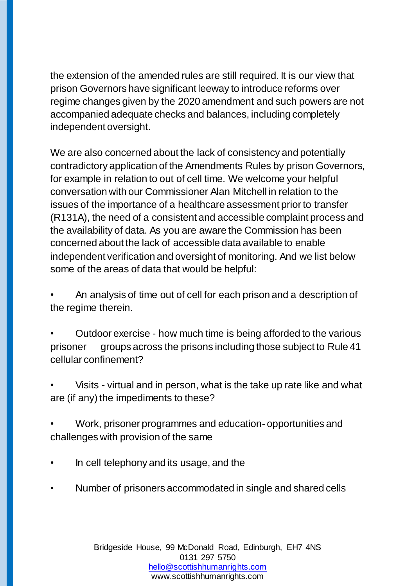the extension of the amended rules are still required. It is our view that prison Governors have significant leeway to introduce reforms over regime changes given by the 2020 amendment and such powers are not accompanied adequate checks and balances, including completely independent oversight.

We are also concerned about the lack of consistency and potentially contradictory application of the Amendments Rules by prison Governors, for example in relation to out of cell time. We welcome your helpful conversation with our Commissioner Alan Mitchell in relation to the issues of the importance of a healthcare assessment prior to transfer (R131A), the need of a consistent and accessible complaint process and the availability of data. As you are aware the Commission has been concerned about the lack of accessible data available to enable independent verification and oversight of monitoring. And we list below some of the areas of data that would be helpful:

• An analysis of time out of cell for each prison and a description of the regime therein.

• Outdoor exercise - how much time is being afforded to the various prisoner groups across the prisons including those subject to Rule 41 cellular confinement?

• Visits - virtual and in person, what is the take up rate like and what are (if any) the impediments to these?

• Work, prisoner programmes and education- opportunities and challenges with provision of the same

- In cell telephony and its usage, and the
- Number of prisoners accommodated in single and shared cells